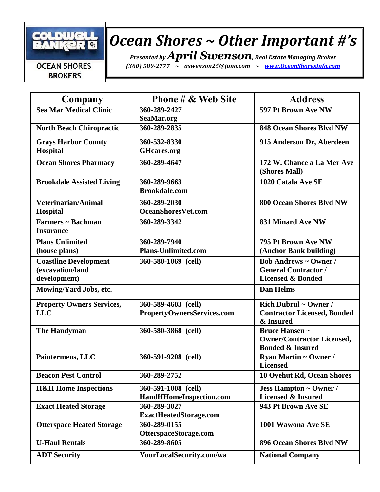

## *Ocean Shores ~ Other Important #'s*

*Presented by April Swenson, Real Estate Managing Broker*

*(360) 589-2777 ~ [aswenson25@j](mailto:aswenson25@juno.com)uno.com ~ [www.OceanShoresInfo.com](http://www.oceanshoresinfo.com/)*

## **OCEAN SHORES BROKERS**

| Company                                                          | <b>Phone # &amp; Web Site</b>                     | <b>Address</b>                                                                              |
|------------------------------------------------------------------|---------------------------------------------------|---------------------------------------------------------------------------------------------|
| <b>Sea Mar Medical Clinic</b>                                    | 360-289-2427<br>SeaMar.org                        | 597 Pt Brown Ave NW                                                                         |
| <b>North Beach Chiropractic</b>                                  | 360-289-2835                                      | <b>848 Ocean Shores Blvd NW</b>                                                             |
| <b>Grays Harbor County</b><br>Hospital                           | 360-532-8330<br><b>GHcares.org</b>                | 915 Anderson Dr, Aberdeen                                                                   |
| <b>Ocean Shores Pharmacy</b>                                     | 360-289-4647                                      | 172 W. Chance a La Mer Ave<br>(Shores Mall)                                                 |
| <b>Brookdale Assisted Living</b>                                 | 360-289-9663<br><b>Brookdale.com</b>              | 1020 Catala Ave SE                                                                          |
| Veterinarian/Animal<br>Hospital                                  | 360-289-2030<br><b>OceanShoresVet.com</b>         | 800 Ocean Shores Blvd NW                                                                    |
| Farmers ~ Bachman<br><b>Insurance</b>                            | 360-289-3342                                      | <b>831 Minard Ave NW</b>                                                                    |
| <b>Plans Unlimited</b><br>(house plans)                          | 360-289-7940<br><b>Plans-Unlimited.com</b>        | 795 Pt Brown Ave NW<br>(Anchor Bank building)                                               |
| <b>Coastline Development</b><br>(excavation/land<br>development) | 360-580-1069 (cell)                               | <b>Bob Andrews ~ Owner /</b><br><b>General Contractor /</b><br><b>Licensed &amp; Bonded</b> |
| Mowing/Yard Jobs, etc.                                           |                                                   | <b>Dan Helms</b>                                                                            |
| <b>Property Owners Services,</b><br><b>LLC</b>                   | 360-589-4603 (cell)<br>PropertyOwnersServices.com | Rich Dubrul ~ Owner /<br><b>Contractor Licensed, Bonded</b><br>& Insured                    |
| <b>The Handyman</b>                                              | 360-580-3868 (cell)                               | <b>Bruce Hansen ~</b><br><b>Owner/Contractor Licensed,</b><br><b>Bonded &amp; Insured</b>   |
| Paintermens, LLC                                                 | 360-591-9208 (cell)                               | <b>Ryan Martin ~ Owner /</b><br><b>Licensed</b>                                             |
| <b>Beacon Pest Control</b>                                       | 360-289-2752                                      | 10 Oyehut Rd, Ocean Shores                                                                  |
| <b>H&amp;H Home Inspections</b>                                  | 360-591-1008 (cell)<br>HandHHomeInspection.com    | <b>Jess Hampton ~ Owner /</b><br><b>Licensed &amp; Insured</b>                              |
| <b>Exact Heated Storage</b>                                      | 360-289-3027<br><b>ExactHeatedStorage.com</b>     | 943 Pt Brown Ave SE                                                                         |
| <b>Otterspace Heated Storage</b>                                 | 360-289-0155<br>OtterspaceStorage.com             | 1001 Wawona Ave SE                                                                          |
| <b>U-Haul Rentals</b>                                            | 360-289-8605                                      | 896 Ocean Shores Blvd NW                                                                    |
| <b>ADT Security</b>                                              | YourLocalSecurity.com/wa                          | <b>National Company</b>                                                                     |